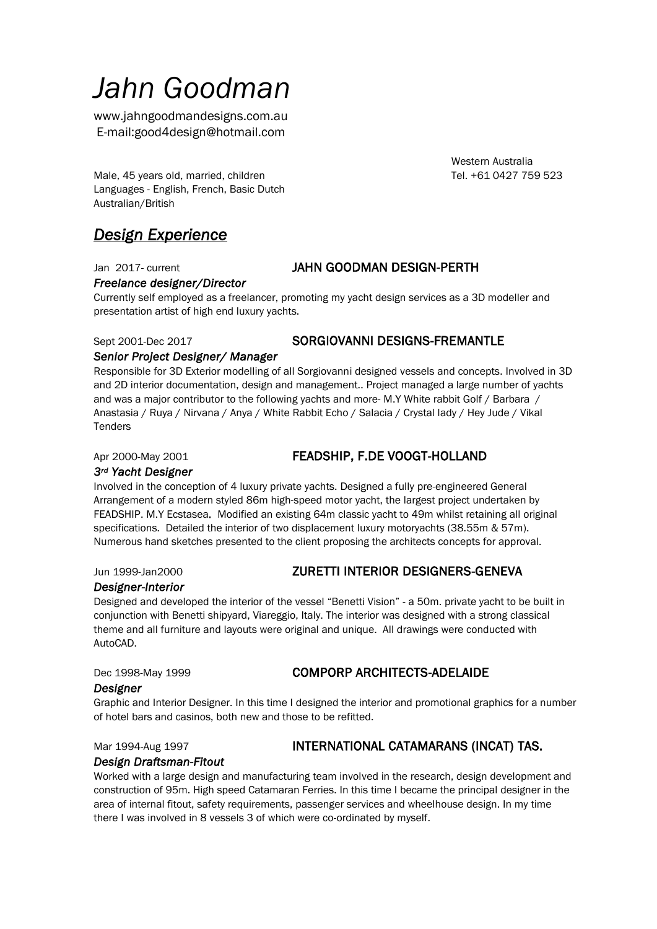# *Jahn Goodman*

www.jahngoodmandesigns.com.au E-mail:good4design@hotmail.com

Western Australia

Male, 45 years old, married, children Tel. +61 0427 759 523 Languages - English, French, Basic Dutch Australian/British

# *Design Experience*

#### *Freelance designer/Director*

#### Jan 2017- current **JAHN GOODMAN DESIGN-PERTH**

Currently self employed as a freelancer, promoting my yacht design services as a 3D modeller and presentation artist of high end luxury yachts.

#### Sept 2001-Dec 2017 SORGIOVANNI DESIGNS-FREMANTLE

#### *Senior Project Designer/ Manager*

Responsible for 3D Exterior modelling of all Sorgiovanni designed vessels and concepts. Involved in 3D and 2D interior documentation, design and management.. Project managed a large number of yachts and was a major contributor to the following yachts and more- M.Y White rabbit Golf / Barbara / Anastasia / Ruya / Nirvana / Anya / White Rabbit Echo / Salacia / Crystal lady / Hey Jude / Vikal **Tenders** 

### Apr 2000-May 2001 **FEADSHIP, F.DE VOOGT-HOLLAND**

#### *3rd Yacht Designer*

Involved in the conception of 4 luxury private yachts. Designed a fully pre-engineered General Arrangement of a modern styled 86m high-speed motor yacht, the largest project undertaken by FEADSHIP. M.Y Ecstasea. Modified an existing 64m classic yacht to 49m whilst retaining all original specifications. Detailed the interior of two displacement luxury motoryachts (38.55m & 57m). Numerous hand sketches presented to the client proposing the architects concepts for approval.

### Jun 1999-Jan2000 **ZURETTI INTERIOR DESIGNERS-GENEVA**

*Designer-Interior* 

Designed and developed the interior of the vessel "Benetti Vision" - a 50m. private yacht to be built in conjunction with Benetti shipyard, Viareggio, Italy. The interior was designed with a strong classical theme and all furniture and layouts were original and unique. All drawings were conducted with AutoCAD.

### Dec 1998-May 1999 **COMPORP ARCHITECTS-ADELAIDE**

#### *Designer*

Graphic and Interior Designer. In this time I designed the interior and promotional graphics for a number of hotel bars and casinos, both new and those to be refitted.

### Mar 1994-Aug 1997 **INTERNATIONAL CATAMARANS (INCAT) TAS.**

#### *Design Draftsman-Fitout*

Worked with a large design and manufacturing team involved in the research, design development and construction of 95m. High speed Catamaran Ferries. In this time I became the principal designer in the area of internal fitout, safety requirements, passenger services and wheelhouse design. In my time there I was involved in 8 vessels 3 of which were co-ordinated by myself.